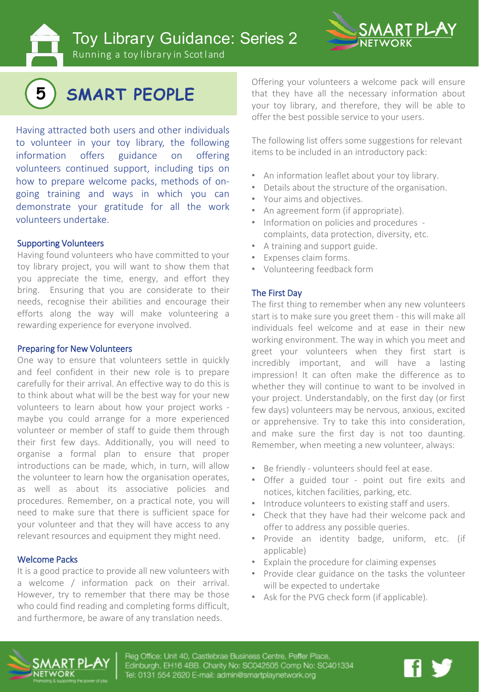Toy Library Guidance: Series 2





# **5 SMART PEOPLE**

Having attracted both users and other individuals to volunteer in your toy library, the following information offers guidance on offering volunteers continued support, including tips on how to prepare welcome packs, methods of ongoing training and ways in which you can demonstrate your gratitude for all the work volunteers undertake.

#### Supporting Volunteers

Having found volunteers who have committed to your toy library project, you will want to show them that you appreciate the time, energy, and effort they bring. Ensuring that you are considerate to their needs, recognise their abilities and encourage their efforts along the way will make volunteering a rewarding experience for everyone involved.

#### Preparing for New Volunteers

One way to ensure that volunteers settle in quickly and feel confident in their new role is to prepare carefully for their arrival. An effective way to do this is to think about what will be the best way for your new volunteers to learn about how your project works maybe you could arrange for a more experienced volunteer or member of staff to guide them through their first few days. Additionally, you will need to organise a formal plan to ensure that proper introductions can be made, which, in turn, will allow the volunteer to learn how the organisation operates, as well as about its associative policies and procedures. Remember, on a practical note, you will need to make sure that there is sufficient space for your volunteer and that they will have access to any relevant resources and equipment they might need.

#### Welcome Packs

It is a good practice to provide all new volunteers with a welcome / information pack on their arrival. However, try to remember that there may be those who could find reading and completing forms difficult, and furthermore, be aware of any translation needs.

Offering your volunteers a welcome pack will ensure that they have all the necessary information about your toy library, and therefore, they will be able to offer the best possible service to your users.

The following list offers some suggestions for relevant items to be included in an introductory pack:

- An information leaflet about your toy library.
- Details about the structure of the organisation.
- Your aims and objectives.
- An agreement form (if appropriate).
- Information on policies and procedures complaints, data protection, diversity, etc.
- A training and support guide.
- Expenses claim forms.
- Volunteering feedback form

#### The First Day

The first thing to remember when any new volunteers start is to make sure you greet them - this will make all individuals feel welcome and at ease in their new working environment. The way in which you meet and greet your volunteers when they first start is incredibly important, and will have a lasting impression! It can often make the difference as to whether they will continue to want to be involved in your project. Understandably, on the first day (or first few days) volunteers may be nervous, anxious, excited or apprehensive. Try to take this into consideration, and make sure the first day is not too daunting. Remember, when meeting a new volunteer, always:

- Be friendly volunteers should feel at ease.
- Offer a guided tour point out fire exits and notices, kitchen facilities, parking, etc.
- Introduce volunteers to existing staff and users.
- Check that they have had their welcome pack and offer to address any possible queries.
- Provide an identity badge, uniform, etc. (if applicable)
- Explain the procedure for claiming expenses
- Provide clear guidance on the tasks the volunteer will be expected to undertake
- Ask for the PVG check form (if applicable).



Reg Office: Unit 40, Castlebrae Business Centre, Peffer Place, Edinburgh, EH16 4BB. Charity No: SC042505 Comp No: SC401334 Tel: 0131 554 2620 E-mail: admin@smartplaynetwork.org